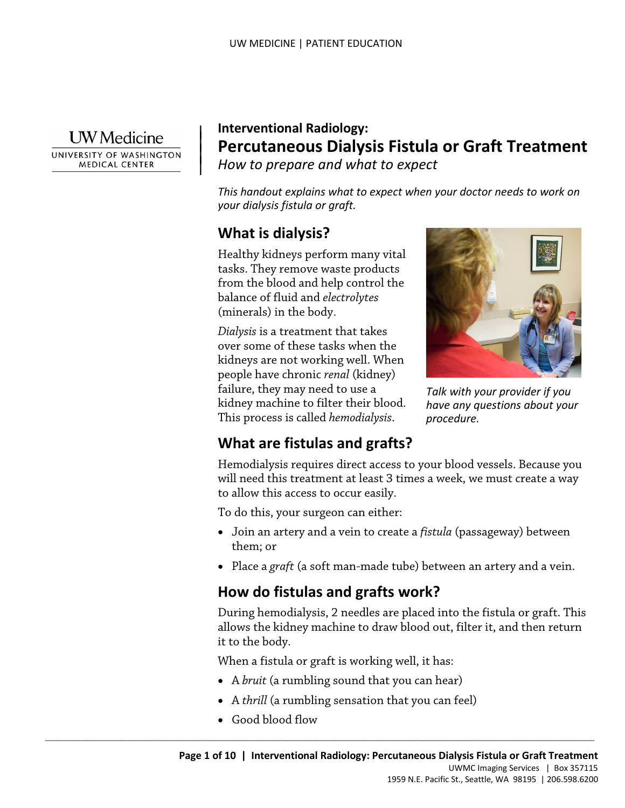**I** W Medicine

UNIVERSITY OF WASHINGTON **MEDICAL CENTER** 

### | **Interventional Radiology: Percutaneous Dialysis Fistula or Graft Treatment**  *How to prepare and what to expect*

*This handout explains what to expect when your doctor needs to work on your dialysis fistula or graft.* 

# **What is dialysis?**

 $\parallel$  $\vert$ 

> Healthy kidneys perform many vital from the blood and help control the tasks. They remove waste products balance of fluid and *electrolytes*  (minerals) in the body.

 This process is called *hemodialysis*. from the blood and help control the<br>balance of fluid and *electrolytes*<br>(minerals) in the body.<br>Dialysis is a treatment that takes<br>over some of these tasks when the<br>kidneys are not working well. When<br>people have chronic *r Dialysis* is a treatment that takes over some of these tasks when the kidneys are not working well. When people have chronic *renal* (kidney) failure, they may need to use a kidney machine to filter their blood.



*Talk with your provider if you have any questions about your procedure.* 

# **What are fistulas and grafts?**

Hemodialysis requires direct access to your blood vessels. Because you will need this treatment at least 3 times a week, we must create a way to allow this access to occur easily.

To do this, your surgeon can either:

- Join an artery and a vein to create a *fistula* (passageway) between them; or
- Place a *graft* (a soft man-made tube) between an artery and a vein.

## **How do fistulas and grafts work?**

 During hemodialysis, 2 needles are placed into the fistula or graft. This allows the kidney machine to draw blood out, filter it, and then return it to the body.

When a fistula or graft is working well, it has:

- A *bruit* (a rumbling sound that you can hear)
- A *thrill* (a rumbling sensation that you can feel)
- Good blood flow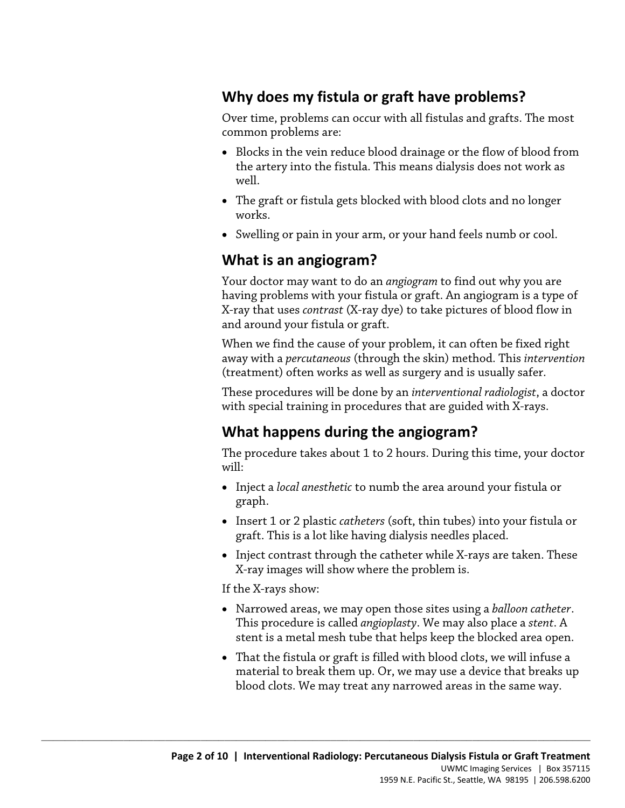# **Why does my fistula or graft have problems?**

 Over time, problems can occur with all fistulas and grafts. The most common problems are:

- • Blocks in the vein reduce blood drainage or the flow of blood from the artery into the fistula. This means dialysis does not work as well.
- The graft or fistula gets blocked with blood clots and no longer works.
- Swelling or pain in your arm, or your hand feels numb or cool.

# **What is an angiogram?**

 having problems with your fistula or graft. An angiogram is a type of and around your fistula or graft. Your doctor may want to do an *angiogram* to find out why you are X-ray that uses *contrast* (X-ray dye) to take pictures of blood flow in

and around your fistula or graft.<br>When we find the cause of your problem, it can often be fixed right (treatment) often works as well as surgery and is usually safer. having problems with your fistula or graft. An angiogram is a typ X-ray that uses *contrast* (X-ray dye) to take pictures of blood flow and around your fistula or graft.<br>When we find the cause of your problem, it can often away with a *percutaneous* (through the skin) method. This *intervention* 

 These procedures will be done by an *interventional radiologist*, a doctor with special training in procedures that are guided with X-rays.

# **What happens during the angiogram?**

The procedure takes about 1 to 2 hours. During this time, your doctor will:

- Inject a *local anesthetic* to numb the area around your fistula or graph.
- • Insert 1 or 2 plastic *catheters* (soft, thin tubes) into your fistula or graft. This is a lot like having dialysis needles placed.
- Inject contrast through the catheter while X-rays are taken. These X-ray images will show where the problem is.

If the X-rays show:

- Narrowed areas, we may open those sites using a *balloon catheter*. This procedure is called *angioplasty*. We may also place a *stent*. A stent is a metal mesh tube that helps keep the blocked area open.
- That the fistula or graft is filled with blood clots, we will infuse a material to break them up. Or, we may use a device that breaks up blood clots. We may treat any narrowed areas in the same way.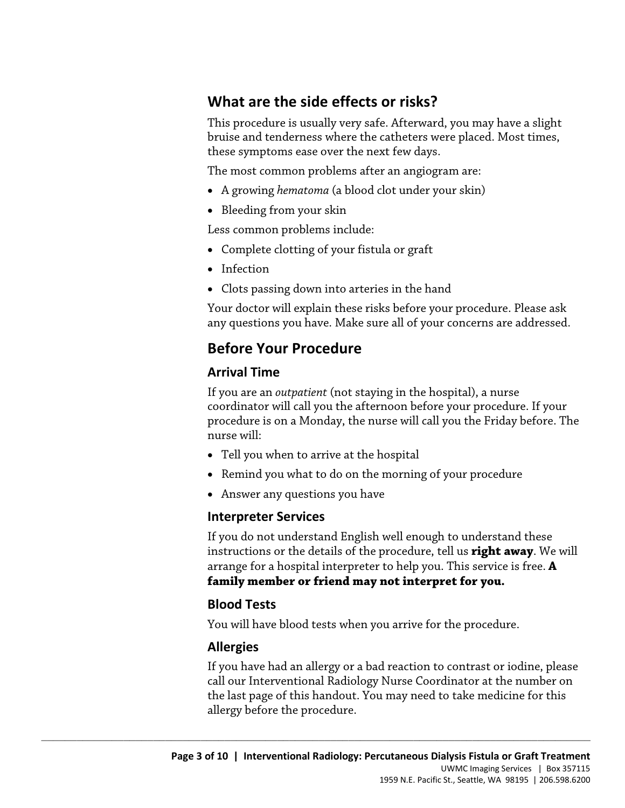## **What are the side effects or risks?**

This procedure is usually very safe. Afterward, you may have a slight bruise and tenderness where the catheters were placed. Most times, these symptoms ease over the next few days.

The most common problems after an angiogram are:

- A growing *hematoma* (a blood clot under your skin)
- Bleeding from your skin

Less common problems include:

- Complete clotting of your fistula or graft
- Infection
- Clots passing down into arteries in the hand

 any questions you have. Make sure all of your concerns are addressed. Your doctor will explain these risks before your procedure. Please ask

### **Before Your Procedure**

#### **Arrival Time**

Four doctor will explain these risks before your procedure. Please as<br>any questions you have. Make sure all of your concerns are addresse<br>**Before Your Procedure**<br>**Arrival Time**<br>If you are an *outpatient* (not staying in th If you are an *outpatient* (not staying in the hospital), a nurse coordinator will call you the afternoon before your procedure. If your procedure is on a Monday, the nurse will call you the Friday before. The nurse will:

• Tell you when to arrive at the hospital

 $\_$  ,  $\_$  ,  $\_$  ,  $\_$  ,  $\_$  ,  $\_$  ,  $\_$  ,  $\_$  ,  $\_$  ,  $\_$  ,  $\_$  ,  $\_$  ,  $\_$  ,  $\_$  ,  $\_$  ,  $\_$  ,  $\_$  ,  $\_$  ,  $\_$  ,  $\_$  ,  $\_$  ,  $\_$  ,  $\_$  ,  $\_$  ,  $\_$  ,  $\_$  ,  $\_$  ,  $\_$  ,  $\_$  ,  $\_$  ,  $\_$  ,  $\_$  ,  $\_$  ,  $\_$  ,  $\_$  ,  $\_$  ,  $\_$  ,

- Remind you what to do on the morning of your procedure
- Answer any questions you have

#### **Interpreter Services**

If you do not understand English well enough to understand these instructions or the details of the procedure, tell us **right away**. We will arrange for a hospital interpreter to help you. This service is free. **A family member or friend may not interpret for you.** 

### **Blood Tests**

You will have blood tests when you arrive for the procedure.

### **Allergies**

 If you have had an allergy or a bad reaction to contrast or iodine, please call our Interventional Radiology Nurse Coordinator at the number on the last page of this handout. You may need to take medicine for this allergy before the procedure.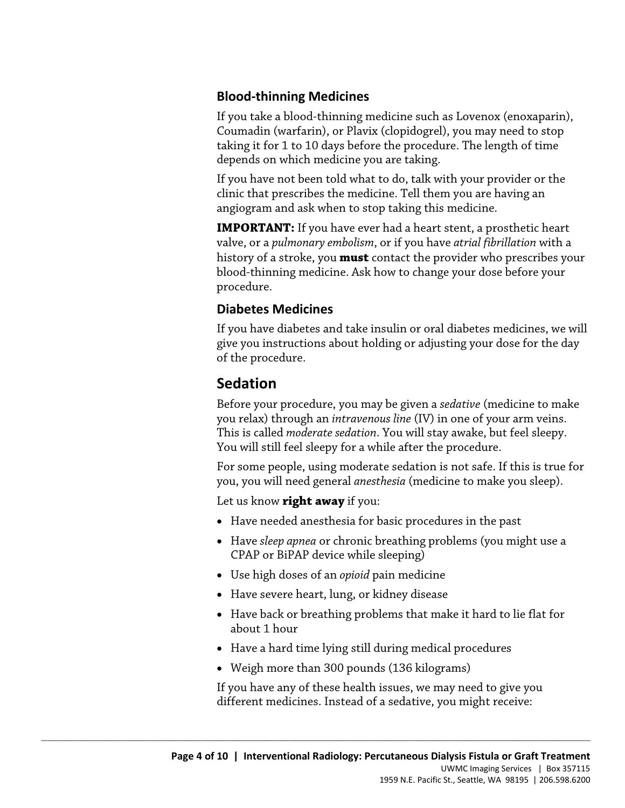### **Blood-thinning Medicines**

If you take a blood-thinning medicine such as Lovenox (enoxaparin), Coumadin (warfarin), or Plavix (clopidogrel), you may need to stop taking it for 1 to 10 days before the procedure. The length of time depends on which medicine you are taking.

If you have not been told what to do, talk with your provider or the clinic that prescribes the medicine. Tell them you are having an angiogram and ask when to stop taking this medicine.

**IMPORTANT:** If you have ever had a heart stent, a prosthetic heart valve, or a *pulmonary embolism*, or if you have *atrial fibrillation* with a history of a stroke, you **must** contact the provider who prescribes your blood-thinning medicine. Ask how to change your dose before your procedure.

### **Diabetes Medicines**

Diabetes Medicines<br>If you have diabetes and take insulin or oral diabetes medicines, w<br>give you instructions about holding or adjusting your dose for the<br>of the procedure.<br>**Sedation**<br>Before your procedure, you may be given If you have diabetes and take insulin or oral diabetes medicines, we will give you instructions about holding or adjusting your dose for the day of the procedure.

### **Sedation**

Before your procedure, you may be given a *sedative* (medicine to make you relax) through an *intravenous line* (IV) in one of your arm veins. This is called *moderate sedation*. You will stay awake, but feel sleepy. You will still feel sleepy for a while after the procedure.

For some people, using moderate sedation is not safe. If this is true for you, you will need general *anesthesia* (medicine to make you sleep).

Let us know **right away** if you:

- Have needed anesthesia for basic procedures in the past
- Have *sleep apnea* or chronic breathing problems (you might use a CPAP or BiPAP device while sleeping)
- Use high doses of an *opioid* pain medicine
- Have severe heart, lung, or kidney disease
- • Have back or breathing problems that make it hard to lie flat for about 1 hour
- Have a hard time lying still during medical procedures
- Weigh more than 300 pounds (136 kilograms)

 $\_$  ,  $\_$  ,  $\_$  ,  $\_$  ,  $\_$  ,  $\_$  ,  $\_$  ,  $\_$  ,  $\_$  ,  $\_$  ,  $\_$  ,  $\_$  ,  $\_$  ,  $\_$  ,  $\_$  ,  $\_$  ,  $\_$  ,  $\_$  ,  $\_$  ,  $\_$  ,  $\_$  ,  $\_$  ,  $\_$  ,  $\_$  ,  $\_$  ,  $\_$  ,  $\_$  ,  $\_$  ,  $\_$  ,  $\_$  ,  $\_$  ,  $\_$  ,  $\_$  ,  $\_$  ,  $\_$  ,  $\_$  ,  $\_$  ,

If you have any of these health issues, we may need to give you different medicines. Instead of a sedative, you might receive: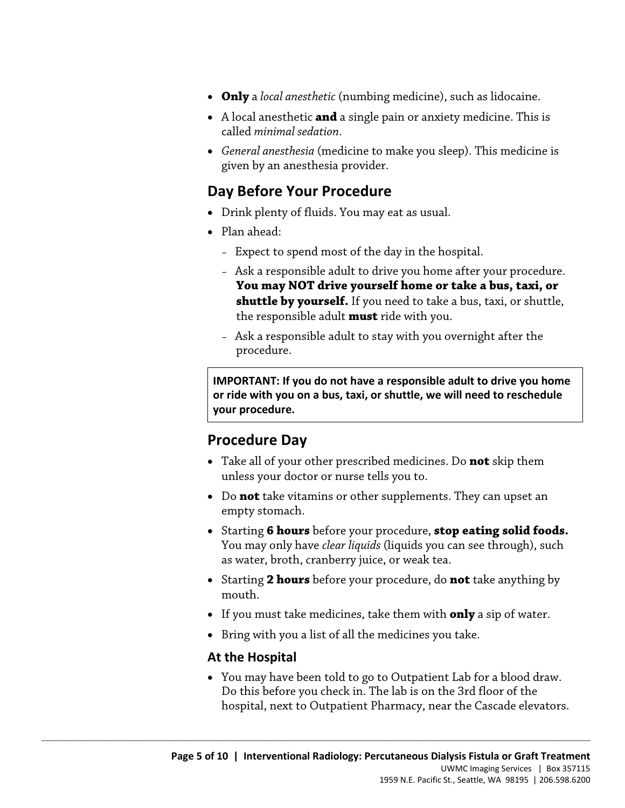- **Only** a *local anesthetic* (numbing medicine), such as lidocaine.
- A local anesthetic **and** a single pain or anxiety medicine. This is called *minimal sedation*.
- *General anesthesia* (medicine to make you sleep). This medicine is given by an anesthesia provider.

## **Day Before Your Procedure**

- Drink plenty of fluids. You may eat as usual.
- Plan ahead:
	- Expect to spend most of the day in the hospital.
	- Ask a responsible adult to drive you home after your procedure. **You may NOT drive yourself home or take a bus, taxi, or shuttle by yourself.** If you need to take a bus, taxi, or shuttle, the responsible adult **must** ride with you.
	- Ask a responsible adult to stay with you overnight after the procedure.

 **or ride with you on a bus, taxi, or shuttle, we will need to reschedule shuttle by yourself.** If you need to take a bus, taxi, or shuttle<br>the responsible adult **must** ride with you.<br>- Ask a responsible adult to stay with you overnight after the<br>procedure.<br>IMPORTANT: If you do not have a respo **IMPORTANT: If you do not have a responsible adult to drive you home your procedure.** 

### **Procedure Day**

- Take all of your other prescribed medicines. Do **not** skip them unless your doctor or nurse tells you to.
- Do **not** take vitamins or other supplements. They can upset an empty stomach.
- Starting **6 hours** before your procedure, **stop eating solid foods.**  You may only have *clear liquids* (liquids you can see through), such as water, broth, cranberry juice, or weak tea.
- • Starting **2 hours** before your procedure, do **not** take anything by mouth.
- If you must take medicines, take them with **only** a sip of water.
- Bring with you a list of all the medicines you take.

 $\_$  ,  $\_$  ,  $\_$  ,  $\_$  ,  $\_$  ,  $\_$  ,  $\_$  ,  $\_$  ,  $\_$  ,  $\_$  ,  $\_$  ,  $\_$  ,  $\_$  ,  $\_$  ,  $\_$  ,  $\_$  ,  $\_$  ,  $\_$  ,  $\_$  ,  $\_$  ,  $\_$  ,  $\_$  ,  $\_$  ,  $\_$  ,  $\_$  ,  $\_$  ,  $\_$  ,  $\_$  ,  $\_$  ,  $\_$  ,  $\_$  ,  $\_$  ,  $\_$  ,  $\_$  ,  $\_$  ,  $\_$  ,  $\_$  ,

#### **At the Hospital**

• You may have been told to go to Outpatient Lab for a blood draw. Do this before you check in. The lab is on the 3rd floor of the hospital, next to Outpatient Pharmacy, near the Cascade elevators.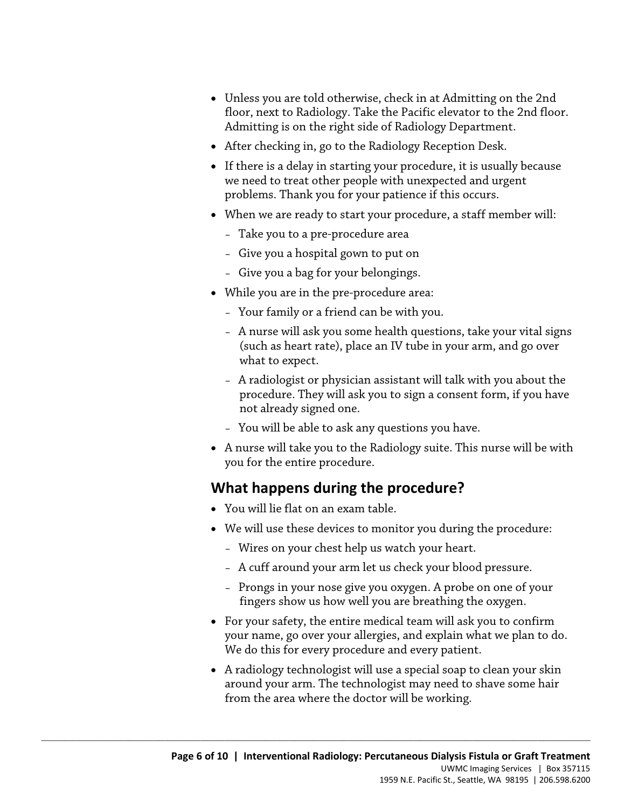- Unless you are told otherwise, check in at Admitting on the 2nd floor, next to Radiology. Take the Pacific elevator to the 2nd floor. Admitting is on the right side of Radiology Department.
- After checking in, go to the Radiology Reception Desk.
- we need to treat other people with unexpected and urgent • If there is a delay in starting your procedure, it is usually because problems. Thank you for your patience if this occurs.
- When we are ready to start your procedure, a staff member will:
	- Take you to a pre-procedure area
	- Give you a hospital gown to put on
	- Give you a bag for your belongings.
- While you are in the pre-procedure area:
	- Your family or a friend can be with you.
- While you are in the pre-procedure area:<br>- Your family or a friend can be with you.<br>- A nurse will ask you some health questions, take your vital sig<br>(such as heart rate), place an IV tube in your arm, and go over<br>what t – A nurse will ask you some health questions, take your vital signs (such as heart rate), place an IV tube in your arm, and go over what to expect.
	- A radiologist or physician assistant will talk with you about the procedure. They will ask you to sign a consent form, if you have not already signed one.
	- You will be able to ask any questions you have.
	- A nurse will take you to the Radiology suite. This nurse will be with you for the entire procedure.

# **What happens during the procedure?**

• You will lie flat on an exam table.

- We will use these devices to monitor you during the procedure:
	- Wires on your chest help us watch your heart.
	- A cuff around your arm let us check your blood pressure.
	- Prongs in your nose give you oxygen. A probe on one of your fingers show us how well you are breathing the oxygen.
- your name, go over your allergies, and explain what we plan to do. • For your safety, the entire medical team will ask you to confirm We do this for every procedure and every patient.
- A radiology technologist will use a special soap to clean your skin around your arm. The technologist may need to shave some hair from the area where the doctor will be working.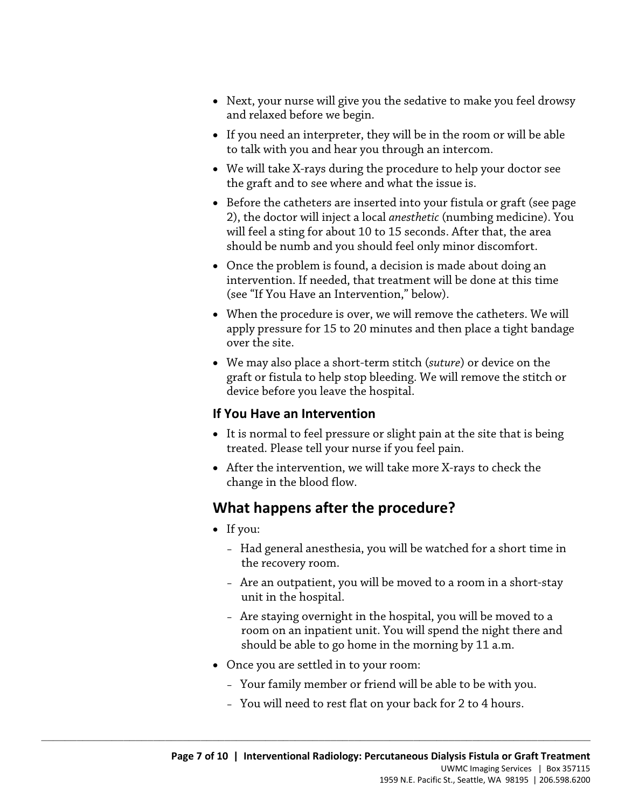- Next, your nurse will give you the sedative to make you feel drowsy and relaxed before we begin.
- If you need an interpreter, they will be in the room or will be able to talk with you and hear you through an intercom.
- We will take X-rays during the procedure to help your doctor see the graft and to see where and what the issue is.
- will feel a sting for about 10 to 15 seconds. After that, the area • Before the catheters are inserted into your fistula or graft (see page 2), the doctor will inject a local *anesthetic* (numbing medicine). You should be numb and you should feel only minor discomfort.
- • Once the problem is found, a decision is made about doing an intervention. If needed, that treatment will be done at this time (see "If You Have an Intervention," below).
- over the site. (see "If You Have an Intervention," below).<br>
• When the procedure is over, we will remove the catheters. We will apply pressure for 15 to 20 minutes and then place a tight banda<br>
over the site.<br>
• We may also place a short • When the procedure is over, we will remove the catheters. We will apply pressure for 15 to 20 minutes and then place a tight bandage
	- • We may also place a short-term stitch (*suture*) or device on the graft or fistula to help stop bleeding. We will remove the stitch or device before you leave the hospital.

#### **If You Have an Intervention**

- It is normal to feel pressure or slight pain at the site that is being treated. Please tell your nurse if you feel pain.
- After the intervention, we will take more X-rays to check the change in the blood flow.

## **What happens after the procedure?**

- If you:
	- Had general anesthesia, you will be watched for a short time in the recovery room.
	- Are an outpatient, you will be moved to a room in a short-stay unit in the hospital.
	- – Are staying overnight in the hospital, you will be moved to a should be able to go home in the morning by 11 a.m. room on an inpatient unit. You will spend the night there and
- Once you are settled in to your room:

- Your family member or friend will be able to be with you.
- You will need to rest flat on your back for 2 to 4 hours.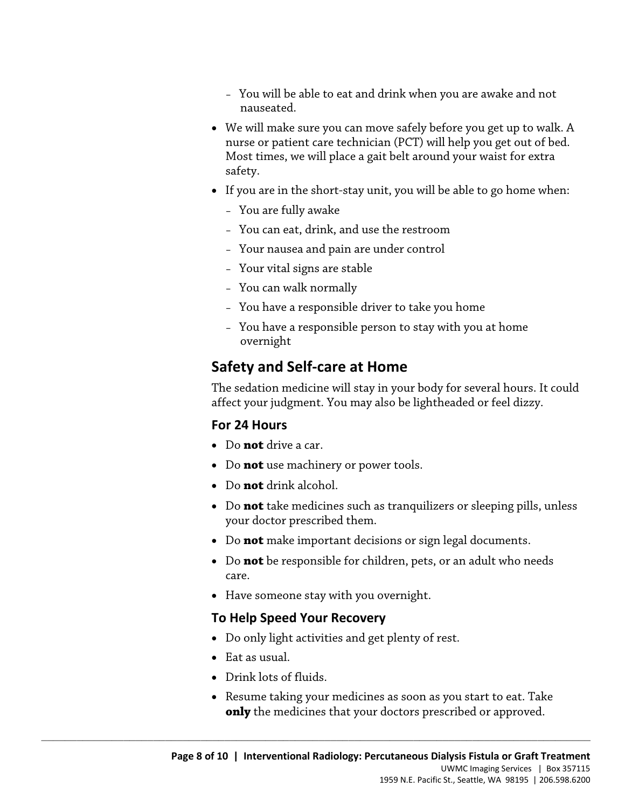- You will be able to eat and drink when you are awake and not nauseated.
- We will make sure you can move safely before you get up to walk. A nurse or patient care technician (PCT) will help you get out of bed. Most times, we will place a gait belt around your waist for extra safety.
- If you are in the short-stay unit, you will be able to go home when:
	- You are fully awake
	- You can eat, drink, and use the restroom
	- Your nausea and pain are under control
	- Your vital signs are stable
	- You can walk normally
	- You have a responsible driver to take you home
	- You have a responsible person to stay with you at home overnight

# **Safety and Self-care at Home**

- You have a responsible driver to take you home<br>- You have a responsible person to stay with you at home<br>overnight<br>**Safety and Self-care at Home**<br>The sedation medicine will stay in your body for several hours. It conflect The sedation medicine will stay in your body for several hours. It could affect your judgment. You may also be lightheaded or feel dizzy.

### **For 24 Hours**

- Do **not** drive a car.
- Do **not** use machinery or power tools.
- Do **not** drink alcohol.
- Do **not** take medicines such as tranquilizers or sleeping pills, unless your doctor prescribed them.
- Do **not** make important decisions or sign legal documents.
- Do **not** be responsible for children, pets, or an adult who needs care.
- Have someone stay with you overnight.

 $\_$  ,  $\_$  ,  $\_$  ,  $\_$  ,  $\_$  ,  $\_$  ,  $\_$  ,  $\_$  ,  $\_$  ,  $\_$  ,  $\_$  ,  $\_$  ,  $\_$  ,  $\_$  ,  $\_$  ,  $\_$  ,  $\_$  ,  $\_$  ,  $\_$  ,  $\_$  ,  $\_$  ,  $\_$  ,  $\_$  ,  $\_$  ,  $\_$  ,  $\_$  ,  $\_$  ,  $\_$  ,  $\_$  ,  $\_$  ,  $\_$  ,  $\_$  ,  $\_$  ,  $\_$  ,  $\_$  ,  $\_$  ,  $\_$  ,

#### **To Help Speed Your Recovery**

- Do only light activities and get plenty of rest.
- Eat as usual.
- Drink lots of fluids.
- Resume taking your medicines as soon as you start to eat. Take **only** the medicines that your doctors prescribed or approved.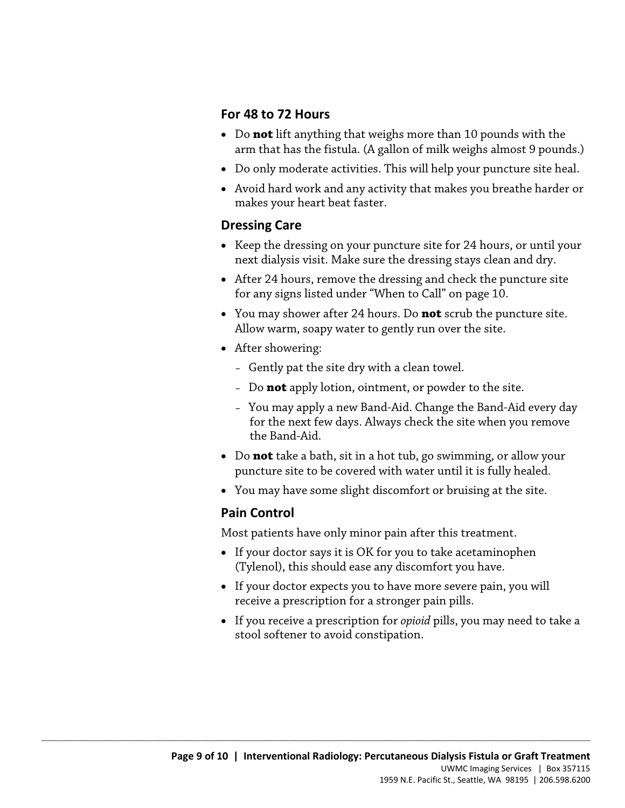#### **For 48 to 72 Hours**

- Do **not** lift anything that weighs more than 10 pounds with the arm that has the fistula. (A gallon of milk weighs almost 9 pounds.)
- Do only moderate activities. This will help your puncture site heal.
- Avoid hard work and any activity that makes you breathe harder or makes your heart beat faster.

#### **Dressing Care**

- Keep the dressing on your puncture site for 24 hours, or until your next dialysis visit. Make sure the dressing stays clean and dry.
- After 24 hours, remove the dressing and check the puncture site for any signs listed under "When to Call" on page 10.
- tor any signs listed under "When to Call" on page 10.<br>
 You may shower after 24 hours. Do **not** scrub the puncture site<br>
Allow warm, soapy water to gently run over the site.<br>
 After showering:<br>
 Gently pat the site dry • You may shower after 24 hours. Do **not** scrub the puncture site. Allow warm, soapy water to gently run over the site.
	- After showering:
		- Gently pat the site dry with a clean towel.
		- Do **not** apply lotion, ointment, or powder to the site.
		- You may apply a new Band-Aid. Change the Band-Aid every day for the next few days. Always check the site when you remove the Band-Aid.
	- Do **not** take a bath, sit in a hot tub, go swimming, or allow your puncture site to be covered with water until it is fully healed.
	- You may have some slight discomfort or bruising at the site.

### **Pain Control**

Most patients have only minor pain after this treatment.

- If your doctor says it is OK for you to take acetaminophen (Tylenol), this should ease any discomfort you have.
- If your doctor expects you to have more severe pain, you will receive a prescription for a stronger pain pills.
- If you receive a prescription for *opioid* pills, you may need to take a stool softener to avoid constipation.